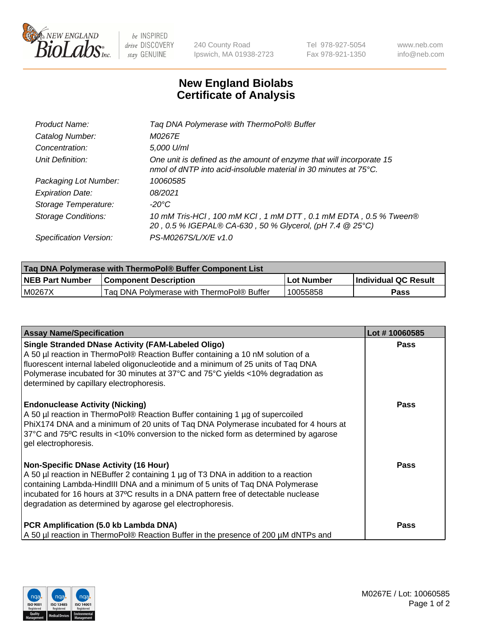

 $be$  INSPIRED drive DISCOVERY stay GENUINE

240 County Road Ipswich, MA 01938-2723 Tel 978-927-5054 Fax 978-921-1350 www.neb.com info@neb.com

## **New England Biolabs Certificate of Analysis**

| Product Name:           | Tag DNA Polymerase with ThermoPol® Buffer                                                                                                |
|-------------------------|------------------------------------------------------------------------------------------------------------------------------------------|
| Catalog Number:         | M0267E                                                                                                                                   |
| Concentration:          | 5,000 U/ml                                                                                                                               |
| Unit Definition:        | One unit is defined as the amount of enzyme that will incorporate 15<br>nmol of dNTP into acid-insoluble material in 30 minutes at 75°C. |
| Packaging Lot Number:   | 10060585                                                                                                                                 |
| <b>Expiration Date:</b> | 08/2021                                                                                                                                  |
| Storage Temperature:    | $-20^{\circ}$ C                                                                                                                          |
| Storage Conditions:     | 10 mM Tris-HCl, 100 mM KCl, 1 mM DTT, 0.1 mM EDTA, 0.5 % Tween®<br>20, 0.5 % IGEPAL® CA-630, 50 % Glycerol, (pH 7.4 @ 25°C)              |
| Specification Version:  | PS-M0267S/L/X/E v1.0                                                                                                                     |

| Taq DNA Polymerase with ThermoPol® Buffer Component List |                                           |            |                      |  |
|----------------------------------------------------------|-------------------------------------------|------------|----------------------|--|
| <b>NEB Part Number</b>                                   | <b>Component Description</b>              | Lot Number | Individual QC Result |  |
| M0267X                                                   | Tag DNA Polymerase with ThermoPol® Buffer | 10055858   | Pass                 |  |

| <b>Assay Name/Specification</b>                                                                                                                                                                                                                                                                                                                                        | Lot #10060585 |
|------------------------------------------------------------------------------------------------------------------------------------------------------------------------------------------------------------------------------------------------------------------------------------------------------------------------------------------------------------------------|---------------|
| <b>Single Stranded DNase Activity (FAM-Labeled Oligo)</b><br>A 50 µl reaction in ThermoPol® Reaction Buffer containing a 10 nM solution of a<br>fluorescent internal labeled oligonucleotide and a minimum of 25 units of Taq DNA<br>Polymerase incubated for 30 minutes at 37°C and 75°C yields <10% degradation as<br>determined by capillary electrophoresis.       | <b>Pass</b>   |
| <b>Endonuclease Activity (Nicking)</b><br>A 50 µl reaction in ThermoPol® Reaction Buffer containing 1 µg of supercoiled<br>PhiX174 DNA and a minimum of 20 units of Tag DNA Polymerase incubated for 4 hours at<br>37°C and 75°C results in <10% conversion to the nicked form as determined by agarose<br>gel electrophoresis.                                        | <b>Pass</b>   |
| <b>Non-Specific DNase Activity (16 Hour)</b><br>A 50 µl reaction in NEBuffer 2 containing 1 µg of T3 DNA in addition to a reaction<br>containing Lambda-HindIII DNA and a minimum of 5 units of Taq DNA Polymerase<br>incubated for 16 hours at 37°C results in a DNA pattern free of detectable nuclease<br>degradation as determined by agarose gel electrophoresis. | Pass          |
| PCR Amplification (5.0 kb Lambda DNA)<br>A 50 µl reaction in ThermoPol® Reaction Buffer in the presence of 200 µM dNTPs and                                                                                                                                                                                                                                            | Pass          |